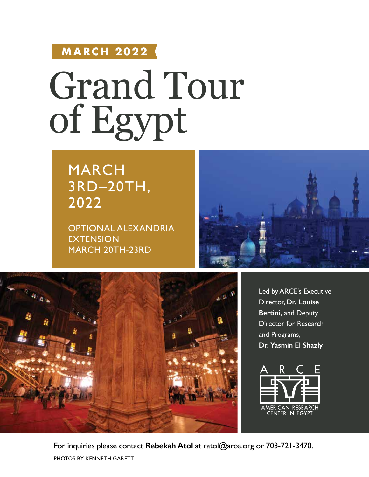# **MARCH 2022**

# Grand Tour of Egypt

# MARCH 3RD–20TH, 2022

OPTIONAL ALEXANDRIA **EXTENSION** MARCH 20TH-23RD





Led by ARCE's Executive Director, **Dr. Louise Bertini,** and Deputy Director for Research and Programs, **Dr. Yasmin El Shazly** 



PHOTOS BY KENNETH GARETT For inquiries please contact **Rebekah Atol** at ratol@arce.org or 703-721-3470.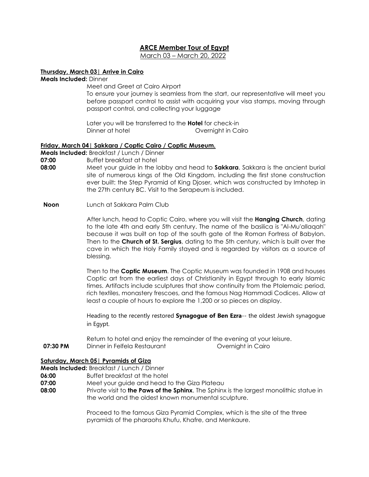# **ARCE Member Tour of Egypt**

March 03 – March 20, 2022

# **Thursday, March 03| Arrive in Cairo**

**Meals Included:** Dinner

Meet and Greet at Cairo Airport To ensure your journey is seamless from the start, our representative will meet you before passport control to assist with acquiring your visa stamps, moving through passport control, and collecting your luggage

Later you will be transferred to the **Hotel** for check-in Dinner at hotel **Dinner at hotel Dinner at hotel** 

# **Friday, March 04| Sakkara / Coptic Cairo / Coptic Museum.**

**Meals Included:** Breakfast / Lunch / Dinner

**07:00** Buffet breakfast at hotel

- **08:00** Meet your guide in the lobby and head to **Sakkara**. Sakkara is the ancient burial site of numerous kings of the Old Kingdom, including the first stone construction ever built: the Step Pyramid of King Djoser, which was constructed by Imhotep in the 27th century BC. Visit to the Serapeum is included.
- **Noon** Lunch at Sakkara Palm Club

After lunch, head to Coptic Cairo, where you will visit the **Hanging Church**, dating to the late 4th and early 5th century. The name of the basilica is "Al-Mu'allaqah" because it was built on top of the south gate of the Roman Fortress of Babylon. Then to the **Church of St. Sergius**, dating to the 5th century, which is built over the cave in which the Holy Family stayed and is regarded by visitors as a source of blessing.

Then to the **Coptic Museum**. The Coptic Museum was founded in 1908 and houses Coptic art from the earliest days of Christianity in Egypt through to early Islamic times. Artifacts include sculptures that show continuity from the Ptolemaic period, rich textiles, monastery frescoes, and the famous Nag Hammadi Codices. Allow at least a couple of hours to explore the 1,200 or so pieces on display.

Heading to the recently restored **Synagogue of Ben Ezra**-- the oldest Jewish synagogue in Egypt.

Return to hotel and enjoy the remainder of the evening at your leisure. **07:30 PM** Dinner in Felfela Restaurant **Dinner in Cairo** Overnight in Cairo

# **Saturday, March 05| Pyramids of Giza**

# **Meals Included:** Breakfast / Lunch / Dinner

- **06:00** Buffet breakfast at the hotel
- **07:00** Meet your guide and head to the Giza Plateau
- **08:00** Private visit to **the Paws of the Sphinx**. The Sphinx is the largest monolithic statue in the world and the oldest known monumental sculpture.

Proceed to the famous Giza Pyramid Complex, which is the site of the three pyramids of the pharaohs Khufu, Khafre, and Menkaure.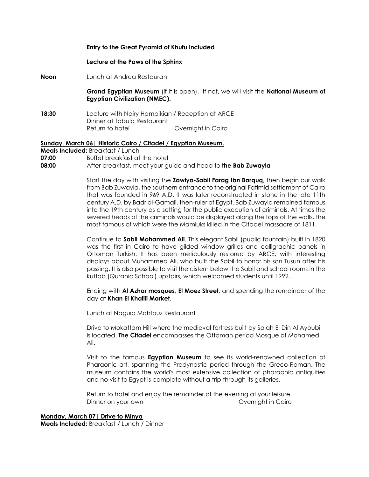#### **Entry to the Great Pyramid of Khufu included**

#### **Lecture at the Paws of the Sphinx**

**Noon** Lunch at Andrea Restaurant

> **Grand Egyptian Museum** (if it is open). If not, we will visit the **National Museum of Egyptian Civilization (NMEC).**

**18:30** Lecture with Nairy Hampikian / Reception at ARCE Dinner at Tabula Restaurant Return to hotel **Cairo** Overnight in Cairo

#### **Sunday, March 06| Historic Cairo / Citadel / Egyptian Museum. Meals Included:** Breakfast / Lunch

**07:00 Buffet breakfast at the hotel** 

**08:00** After breakfast, meet your guide and head to **the Bab Zuwayla**

Start the day with visiting the **Zawiya-Sabil Farag Ibn Barquq**, then begin our walk from Bab Zuwayla, the southern entrance to the original Fatimid settlement of Cairo that was founded in 969 A.D. It was later reconstructed in stone in the late 11th century A.D. by Badr al-Gamali, then-ruler of Egypt. Bab Zuwayla remained famous into the 19th century as a setting for the public execution of criminals. At times the severed heads of the criminals would be displayed along the tops of the walls, the most famous of which were the Mamluks killed in the Citadel massacre of 1811.

Continue to **Sabil Mohammed Ali**. This elegant Sabil (public fountain) built in 1820 was the first in Cairo to have gilded window grilles and calligraphic panels in Ottoman Turkish. It has been meticulously restored by ARCE, with interesting displays about Muhammed Ali, who built the Sabil to honor his son Tusun after his passing. It is also possible to visit the cistern below the Sabil and school rooms in the kuttab (Quranic School) upstairs, which welcomed students until 1992.

Ending with **Al Azhar mosques**, **El Moez Street**, and spending the remainder of the day at **Khan El Khalili Market**.

Lunch at Naguib Mahfouz Restaurant

Drive to Mokattam Hill where the medieval fortress built by Salah El Din Al Ayoubi is located. **The Citadel** encompasses the Ottoman period Mosque of Mohamed Ali.

Visit to the famous **Egyptian Museum** to see its world-renowned collection of Pharaonic art, spanning the Predynastic period through the Greco-Roman. The museum contains the world's most extensive collection of pharaonic antiquities and no visit to Egypt is complete without a trip through its galleries.

Return to hotel and enjoy the remainder of the evening at your leisure. Dinner on your own Overnight in Cairo

#### **Monday, March 07| Drive to Minya**

**Meals Included:** Breakfast / Lunch / Dinner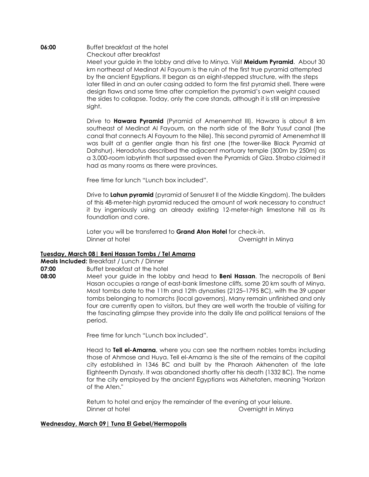**06:00** Buffet breakfast at the hotel Checkout after breakfast Meet your guide in the lobby and drive to Minya. Visit **Meidum Pyramid**. About 30 km northeast of Medinat Al Fayoum is the ruin of the first true pyramid attempted by the ancient Egyptians. It began as an eight-stepped structure, with the steps later filled in and an outer casing added to form the first pyramid shell. There were design flaws and some time after completion the pyramid's own weight caused the sides to collapse. Today, only the core stands, although it is still an impressive sight.

> Drive to **Hawara Pyramid** (Pyramid of Amenemhat III). Hawara is about 8 km southeast of Medinat Al Fayoum, on the north side of the Bahr Yusuf canal (the canal that connects Al Fayoum to the Nile). This second pyramid of Amenemhat III was built at a gentler angle than his first one (the tower-like Black Pyramid at Dahshur). Herodotus described the adjacent mortuary temple (300m by 250m) as a 3,000-room labyrinth that surpassed even the Pyramids of Giza. Strabo claimed it had as many rooms as there were provinces.

Free time for lunch "Lunch box included".

Drive to **Lahun pyramid** (pyramid of Senusret II of the Middle Kingdom). The builders of this 48-meter-high pyramid reduced the amount of work necessary to construct it by ingeniously using an already existing 12-meter-high limestone hill as its foundation and core.

Later you will be transferred to **Grand Aton Hotel** for check-in. Dinner at hotel **Dinner at hotel Dinner at hotel** 

# **Tuesday, March 08| Beni Hassan Tombs / Tel Amarna**

**Meals Included:** Breakfast / Lunch / Dinner

- **07:00** Buffet breakfast at the hotel
- **08:00** Meet your guide in the lobby and head to **Beni Hassan**. The necropolis of Beni Hasan occupies a range of east-bank limestone cliffs, some 20 km south of Minya. Most tombs date to the 11th and 12th dynasties (2125–1795 BC), with the 39 upper tombs belonging to nomarchs (local governors). Many remain unfinished and only four are currently open to visitors, but they are well worth the trouble of visiting for the fascinating glimpse they provide into the daily life and political tensions of the period.

Free time for lunch "Lunch box included".

Head to **Tell el-Amarna**, where you can see the northern nobles tombs including those of Ahmose and Huya. Tell el-Amarna is the site of the remains of the capital city established in 1346 BC and built by the Pharaoh Akhenaten of the late Eighteenth Dynasty. It was abandoned shortly after his death (1332 BC). The name for the city employed by the ancient Egyptians was Akhetaten, meaning "Horizon of the Aten."

Return to hotel and enjoy the remainder of the evening at your leisure. Dinner at hotel **Dinner at hotel Dinner at hotel** 

#### **Wednesday, March 09| Tuna El Gebel/Hermopolis**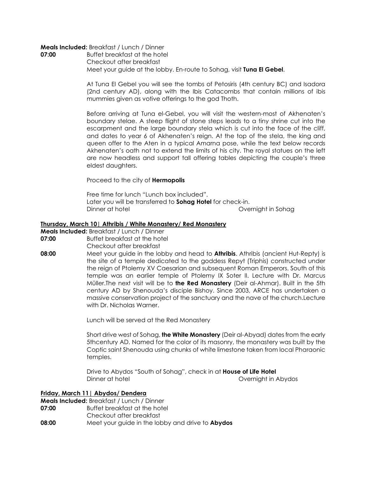#### **Meals Included:** Breakfast / Lunch / Dinner

**07:00** Buffet breakfast at the hotel Checkout after breakfast Meet your guide at the lobby. En-route to Sohag, visit **Tuna El Gebel**.

> At Tuna El Gebel you will see the tombs of Petosiris (4th century BC) and Isadora (2nd century AD), along with the Ibis Catacombs that contain millions of ibis mummies given as votive offerings to the god Thoth.

> Before arriving at Tuna el-Gebel, you will visit the western-most of Akhenaten's boundary stelae. A steep flight of stone steps leads to a tiny shrine cut into the escarpment and the large boundary stela which is cut into the face of the cliff, and dates to year 6 of Akhenaten's reign. At the top of the stela, the king and queen offer to the Aten in a typical Amarna pose, while the text below records Akhenaten's oath not to extend the limits of his city. The royal statues on the left are now headless and support tall offering tables depicting the couple's three eldest daughters.

Proceed to the city of **Hermopolis**

Free time for lunch "Lunch box included". Later you will be transferred to **Sohag Hotel** for check-in. Dinner at hotel **Dinner at hotel Dinner at hotel** 

#### **Thursday, March 10| Athribis / White Monastery/ Red Monastery**

**Meals Included:** Breakfast / Lunch / Dinner

- **07:00** Buffet breakfast at the hotel
- Checkout after breakfast
- **08:00** Meet your guide in the lobby and head to **Athribis**. Athribis (ancient Hut-Repty) is the site of a temple dedicated to the goddess Repyt (Triphis) constructed under the reign of Ptolemy XV Caesarian and subsequent Roman Emperors. South of this temple was an earlier temple of Ptolemy IX Soter II. Lecture with Dr. Marcus Müller.The next visit will be to **the Red Monastery** (Deir al-Ahmar). Built in the 5th century AD by Shenouda's disciple Bishoy. Since 2003, ARCE has undertaken a massive conservation project of the sanctuary and the nave of the church.Lecture with Dr. Nicholas Warner.

Lunch will be served at the Red Monastery

Short drive west of Sohag, **the White Monastery** (Deir al-Abyad) dates from the early 5thcentury AD. Named for the color of its masonry, the monastery was built by the Coptic saint Shenouda using chunks of white limestone taken from local Pharaonic temples.

Drive to Abydos "South of Sohag", check in at **House of Life Hotel** Dinner at hotel Overnight in Abydos

**Friday, March 11| Abydos/ Dendera**

**Meals Included:** Breakfast / Lunch / Dinner<br>**07:00** Buffet breakfast at the hote **07:00** Buffet breakfast at the hotel Checkout after breakfast **08:00** Meet your guide in the lobby and drive to **Abydos**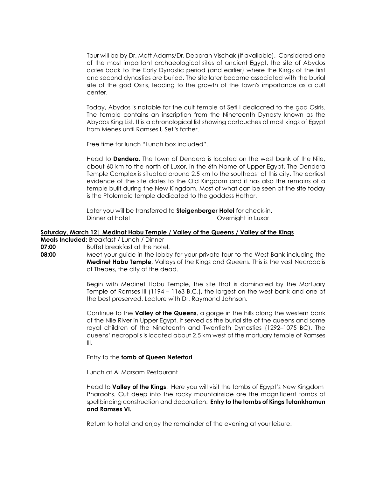Tour will be by Dr. Matt Adams/Dr. Deborah Vischak (If available).Considered one of the most important archaeological sites of ancient Egypt, the site of Abydos dates back to the Early Dynastic period (and earlier) where the Kings of the first and second dynasties are buried. The site later became associated with the burial site of the god Osiris, leading to the growth of the town's importance as a cult center.

Today, Abydos is notable for the cult temple of Seti I dedicated to the god Osiris. The temple contains an inscription from the Nineteenth Dynasty known as the Abydos King List. It is a chronological list showing cartouches of most kings of Egypt from Menes until Ramses I, Seti's father.

Free time for lunch "Lunch box included".

Head to **Dendera**. The town of Dendera is located on the west bank of the Nile, about 60 km to the north of Luxor, in the 6th Nome of Upper Egypt. The Dendera Temple Complex is situated around 2.5 km to the southeast of this city. The earliest evidence of the site dates to the Old Kingdom and it has also the remains of a temple built during the New Kingdom. Most of what can be seen at the site today is the Ptolemaic temple dedicated to the goddess Hathor.

Later you will be transferred to **Steigenberger Hotel** for check-in. Dinner at hotel **Dinner** at hotel **Dinner** at hotel **Dinner** at hotel **Dinner** at  $\theta$ 

#### **Saturday, March 12| Medinat Habu Temple / Valley of the Queens / Valley of the Kings**

**Meals Included:** Breakfast / Lunch / Dinner

**07:00** Buffet breakfast at the hotel.

**08:00** Meet your guide in the lobby for your private tour to the West Bank including the **Medinet Habu Temple**, Valleys of the Kings and Queens. This is the vast Necropolis of Thebes, the city of the dead.

> Begin withMedinetHabu Temple, the site that is dominated by the Mortuary Temple of Ramses III (1194 – 1163 B.C.), the largest on the west bank and one of the best preserved. Lecture with Dr. Raymond Johnson.

> Continue to the **Valley of the Queens**, a gorge in the hills along the western bank of the Nile River in Upper Egypt. It served as the burial site of the queens and some royal children of the Nineteenth and Twentieth Dynasties (1292–1075 BC). The queens' necropolis is located about 2.5 km west of the mortuary temple of Ramses III.

Entry to the **tomb of Queen Nefertari**

Lunch at Al Marsam Restaurant

Head to **Valley of the Kings**.Here you will visit the tombs of Egypt's New Kingdom Pharaohs. Cut deep into the rocky mountainside are the magnificent tombs of spellbinding construction and decoration. **Entry to the tombs of Kings Tutankhamun and Ramses VI.**

Return to hotel and enjoy the remainder of the evening at your leisure.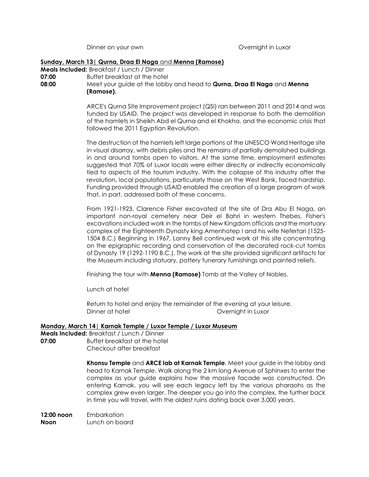Dinner on your own **Dinner on your own Overnight in Luxor** 

#### **Sunday, March 13| Qurna, Draa El Naga** and **Menna (Ramose)**

**Meals Included:** Breakfast / Lunch / Dinner **07:00** Buffet breakfast at the hotel

**08:00** Meet your guide at the lobby and head to **Qurna, Draa El Naga** and **Menna (Ramose).**

> ARCE's Qurna Site Improvement project (QSI) ran between 2011 and 2014 and was funded by USAID. The project was developed in response to both the demolition of the hamlets in Sheikh Abd el Qurna and el Khokha, and the economic crisis that followed the 2011 Egyptian Revolution.

> The destruction of the hamlets left large portions of the UNESCO World Heritage site in visual disarray, with debris piles and the remains of partially demolished buildings in and around tombs open to visitors. At the same time, employment estimates suggested that 70% of Luxor locals were either directly or indirectly economically tied to aspects of the tourism industry. With the collapse of this industry after the revolution, local populations, particularly those on the West Bank, faced hardship. Funding provided through USAID enabled the creation of a large program of work that, in part, addressed both of these concerns.

> From 1921-1923, Clarence Fisher excavated at the site of Dra Abu El Naga, an important non-royal cemetery near Deir el Bahri in western Thebes. Fisher's excavations included work in the tombs of New Kingdom officials and the mortuary complex of the Eighteenth Dynasty king Amenhotep I and his wife Nefertari (1525- 1504 B.C.) Beginning in 1967, Lanny Bell continued work at this site concentrating on the epigraphic recording and conservation of the decorated rock-cut tombs of Dynasty 19 (1292-1190 B.C.). The work at the site provided significant artifacts for the Museum including statuary, pottery funerary furnishings and painted reliefs.

Finishing the tour with **Menna (Ramose)** Tomb at the Valley of Nobles.

Lunch at hotel

Return to hotel and enjoy the remainder of the evening at your leisure. Dinner at hotel **Dinner** at hotel **Dinner** at hotel **Dinner** at  $\alpha$ 

# **Monday, March 14| Karnak Temple / Luxor Temple / Luxor Museum**

**Meals Included:** Breakfast / Lunch / Dinner **07:00** Buffet breakfast at the hotel Checkout after breakfast

> **Khonsu Temple** and **ARCE lab at Karnak Temple**. Meet your guide in the lobby and head to Karnak Temple. Walk along the 2 km long Avenue of Sphinxes to enter the complex as your guide explains how the massive facade was constructed. On entering Karnak, you will see each legacy left by the various pharaohs as the complex grew even larger. The deeper you go into the complex, the further back in time you will travel, with the oldest ruins dating back over 3,000 years.

**12:00 noon** Embarkation **Noon** Lunch on board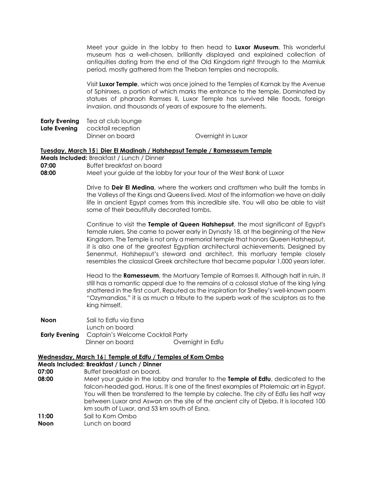Meet your guide in the lobby to then head to **Luxor Museum**. This wonderful museum has a well-chosen, brilliantly displayed and explained collection of antiquities dating from the end of the Old Kingdom right through to the Mamluk period, mostly gathered from the Theban temples and necropolis.

Visit **Luxor Temple**, which was once joined to the Temples of Karnak by the Avenue of Sphinxes, a portion of which marks the entrance to the temple. Dominated by statues of pharaoh Ramses II, Luxor Temple has survived Nile floods, foreign invasion, and thousands of years of exposure to the elements.

**Early Evening** Tea at club lounge

**Late Evening** cocktail reception

Dinner on board **Overnight in Luxor** 

# **Tuesday, March 15| Dier El Madinah / Hatshepsut Temple / Ramesseum Temple**

- **Meals Included:** Breakfast / Lunch / Dinner
- **07:00** Buffet breakfast on board<br>**08:00** Meet your auide at the lob

**08:00** Meet your guide at the lobby for your tour of the West Bank of Luxor

Drive to **Deir El Medina**, where the workers and craftsmen who built the tombs in the Valleys of the Kings and Queens lived. Most of the information we have on daily life in ancient Egypt comes from this incredible site. You will also be able to visit some of their beautifully decorated tombs.

Continue to visit the **Temple of Queen Hatshepsut**, the most significant of Egypt's female rulers. She came to power early in Dynasty 18, at the beginning of the New Kingdom. The Temple is not only a memorial temple that honors Queen Hatshepsut, it is also one of the greatest Egyptian architectural achievements. Designed by Senenmut, Hatshepsut's steward and architect, this mortuary temple closely resembles the classical Greek architecture that became popular 1,000 years later.

Head to the **Ramesseum**, the Mortuary Temple of Ramses II. Although half in ruin, it still has a romantic appeal due to the remains of a colossal statue of the king lying shattered in the first court. Reputed as the inspiration for Shelley's well-known poem "Ozymandias," it is as much a tribute to the superb work of the sculptors as to the king himself.

**Noon** Sail to Edfu via Esna Lunch on board **Early Evening** Captain's Welcome Cocktail Party Dinner on board **Overnight in Edfu** 

# **Wednesday, March 16| Temple of Edfu / Temples of Kom Ombo**

- **Meals Included: Breakfast / Lunch / Dinner**
- **07:00** Buffet breakfast on board.
- **08:00** Meet your guide in the lobby and transfer to the **Temple of Edfu**, dedicated to the falcon-headed god, Horus. It is one of the finest examples of Ptolemaic art in Egypt. You will then be transferred to the temple by caleche. The city of Edfu lies half way between Luxor and Aswan on the site of the ancient city of Djeba. It is located 100 km south of Luxor, and 53 km south of Esna. **11:00** Sail to Kom Ombo
- **Noon** Lunch on board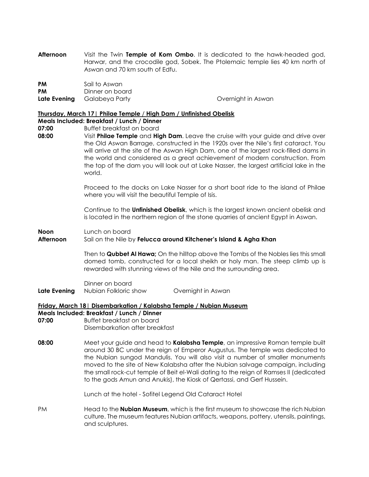**Afternoon** Visit the Twin **Temple of Kom Ombo**. It is dedicated to the hawk-headed god, Harwar, and the crocodile god, Sobek. The Ptolemaic temple lies 40 km north of Aswan and 70 km south of Edfu.

| <b>PM</b> | Sail to Aswan                      |                    |
|-----------|------------------------------------|--------------------|
| <b>PM</b> | Dinner on board                    |                    |
|           | <b>Late Evening</b> Galabeya Party | Overnight in Aswan |

#### **Thursday, March 17| Philae Temple** / **High Dam / Unfinished Obelisk**

# **Meals Included: Breakfast / Lunch / Dinner**

- **07:00** Buffet breakfast on board
- **08:00** Visit **Philae Temple** and **High Dam**. Leave the cruise with your guide and drive over the Old Aswan Barrage, constructed in the 1920s over the Nile's first cataract. You will arrive at the site of the Aswan High Dam, one of the largest rock-filled dams in the world and considered as a great achievement of modern construction. From the top of the dam you will look out at Lake Nasser, the largest artificial lake in the world.

Proceed to the docks on Lake Nasser for a short boat ride to the island of Philae where you will visit the beautiful Temple of Isis.

Continue to the **Unfinished Obelisk**, which is the largest known ancient obelisk and is located in the northern region of the stone quarries of ancient Egypt in Aswan.

**Noon** Lunch on board

#### **Afternoon** Sail on the Nile by **Felucca around Kitchener's Island & Agha Khan**

Then to **Qubbet Al Hawa;** On the hilltop above the Tombs of the Nobles lies this small domed tomb, constructed for a local sheikh or holy man. The steep climb up is rewarded with stunning views of the Nile and the surrounding area.

### Dinner on board **Late Evening** Nubian Folkloric show Overnight in Aswan

#### **Friday, March 18| Disembarkation / Kalabsha Temple / Nubian Museum**

#### **Meals Included: Breakfast / Lunch / Dinner**

- **07:00** Buffet breakfast on board Disembarkation after breakfast
- **08:00** Meet your guide and head to **Kalabsha Temple**, an impressive Roman temple built around 30 BC under the reign of Emperor Augustus. The temple was dedicated to the Nubian sungod Mandulis. You will also visit a number of smaller monuments moved to the site of New Kalabsha after the Nubian salvage campaign, including the small rock-cut temple of Beit el-Wali dating to the reign of Ramses II (dedicated to the gods Amun and Anukis), the Kiosk of Qertassi, and Gerf Hussein.

Lunch at the hotel - Sofitel Legend Old Cataract Hotel

PM Head to the **Nubian Museum**, which is the first museum to showcase the rich Nubian culture. The museum features Nubian artifacts, weapons, pottery, utensils, paintings, and sculptures.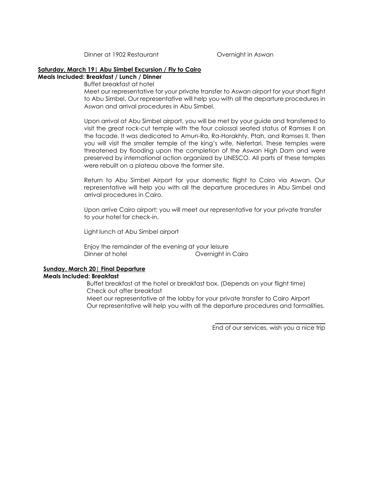Dinner at 1902 Restaurant **Constanting Construction Construction** Overnight in Aswan

#### **Saturday, March 19| Abu Simbel Excursion / Fly to Cairo**

**Meals Included: Breakfast / Lunch / Dinner**

Buffet breakfast at hotel

Meet our representative for your private transfer to Aswan airport for your short flight to Abu Simbel. Our representative will help you with all the departure procedures in Aswan and arrival procedures in Abu Simbel.

Upon arrival at Abu Simbel airport, you will be met by your guide and transferred to visit the great rock-cut temple with the four colossal seated status of Ramses II on the facade. It was dedicated to Amun-Ra, Ra-Horakhty, Ptah, and Ramses II. Then you will visit the smaller temple of the king's wife, Nefertari. These temples were threatened by flooding upon the completion of the Aswan High Dam and were preserved by international action organized by UNESCO. All parts of these temples were rebuilt on a plateau above the former site.

Return to Abu Simbel Airport for your domestic flight to Cairo via Aswan. Our representative will help you with all the departure procedures in Abu Simbel and arrival procedures in Cairo.

Upon arrive Cairo airport; you will meet our representative for your private transfer to your hotel for check-in.

Light lunch at Abu Simbel airport

Enjoy the remainder of the evening at your leisure Dinner at hotel **Overnight in Cairo** 

# **Sunday, March 20| Final Departure**

# **Meals Included: Breakfast**

Buffet breakfast at the hotel or breakfast box. (Depends on your flight time) Check out after breakfast

Meet our representative at the lobby for your private transfer to Cairo Airport Our representative will help you with all the departure procedures and formalities.

End of our services, wish you a nice trip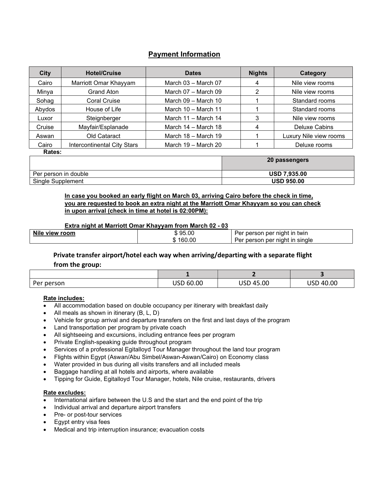# **Payment Information**

| <b>City</b> | <b>Hotel/Cruise</b>                | <b>Dates</b>            | <b>Nights</b> | Category               |
|-------------|------------------------------------|-------------------------|---------------|------------------------|
| Cairo       | Marriott Omar Khayyam              | March $03 -$ March $07$ | 4             | Nile view rooms        |
| Minya       | Grand Aton                         | March $07 -$ March $09$ | 2             | Nile view rooms        |
| Sohag       | Coral Cruise                       | March 09 - March 10     |               | Standard rooms         |
| Abydos      | House of Life                      | March 10 - March 11     |               | Standard rooms         |
| Luxor       | Steignberger                       | March 11 - March 14     | 3             | Nile view rooms        |
| Cruise      | Mayfair/Esplanade                  | March 14 - March 18     | 4             | Deluxe Cabins          |
| Aswan       | Old Cataract                       | March 18 - March 19     |               | Luxury Nile view rooms |
| Cairo       | <b>Intercontinental City Stars</b> | March $19 -$ March $20$ |               | Deluxe rooms           |
| Rates:      |                                    |                         |               |                        |
|             |                                    |                         |               | 20 passengers          |

| Per person in double        | <b>USD 7,935.00</b> |
|-----------------------------|---------------------|
| Single<br><b>Supplement</b> | USD 950.00          |

# **In case you booked an early flight on March 03, arriving Cairo before the check in time, you are requested to book an extra night at the Marriott Omar Khayyam so you can check in upon arrival (check in time at hotel is 02:00PM):**

# **Extra night at Marriott Omar Khayyam from March 02 - 03**

| <b>Nile</b><br>view room | \$95.00       | twin<br>night<br>∶m<br>per<br>person<br>וסי       |
|--------------------------|---------------|---------------------------------------------------|
|                          | 160.00<br>u). | ∵night in<br>single<br>per<br>erson<br>⊢er<br>ber |
|                          |               |                                                   |

# **Private transfer airport/hotel each way when arriving/departing with a separate flight from the group:**

| Per person | USD 60.00 | 45.00<br><u>JJD</u> | 40.00<br>не п<br>ບວ∟ |
|------------|-----------|---------------------|----------------------|

# **Rate includes:**

- All accommodation based on double occupancy per itinerary with breakfast daily
- All meals as shown in itinerary (B, L, D)
- Vehicle for group arrival and departure transfers on the first and last days of the program
- Land transportation per program by private coach
- All sightseeing and excursions, including entrance fees per program
- Private English-speaking guide throughout program
- Services of a professional Egitalloyd Tour Manager throughout the land tour program
- Flights within Egypt (Aswan/Abu Simbel/Aswan-Aswan/Cairo) on Economy class
- Water provided in bus during all visits transfers and all included meals
- Baggage handling at all hotels and airports, where available
- Tipping for Guide, Egitalloyd Tour Manager, hotels, Nile cruise, restaurants, drivers

# **Rate excludes:**

- International airfare between the U.S and the start and the end point of the trip
- Individual arrival and departure airport transfers
- Pre- or post-tour services
- Egypt entry visa fees
- Medical and trip interruption insurance; evacuation costs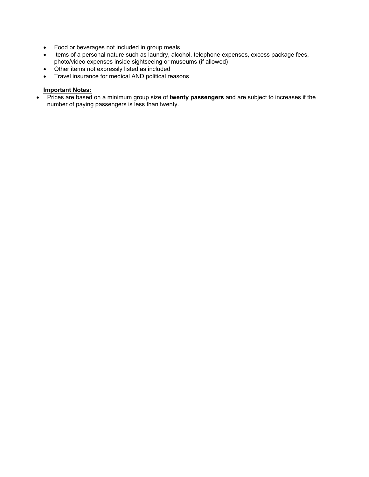- Food or beverages not included in group meals
- Items of a personal nature such as laundry, alcohol, telephone expenses, excess package fees, photo/video expenses inside sightseeing or museums (if allowed)
- Other items not expressly listed as included
- Travel insurance for medical AND political reasons

# **Important Notes:**

• Prices are based on a minimum group size of **twenty passengers** and are subject to increases if the number of paying passengers is less than twenty.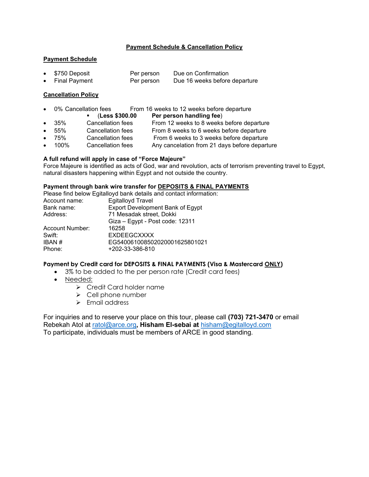# **Payment Schedule & Cancellation Policy**

#### **Payment Schedule**

• \$750 Deposit Per person Due on Confirmation Final Payment **Per person** Due 16 weeks before departure

#### **Cancellation Policy**

- 0% Cancellation fees From 16 weeks to 12 weeks before departure<br> **Example 18 Less \$300.00 Per person handling fee**)
	- (**Less \$300.00 Per person handling fee**)
- 35% Cancellation fees From 12 weeks to 8 weeks before departure
- 55% Cancellation fees From 8 weeks to 6 weeks before departure
	- 75% Cancellation fees From 6 weeks to 3 weeks before departure
- 100% Cancellation fees Any cancelation from 21 days before departure

# **A full refund will apply in case of "Force Majeure"**

Force Majeure is identified as acts of God, war and revolution, acts of terrorism preventing travel to Egypt, natural disasters happening within Egypt and not outside the country.

#### **Payment through bank wire transfer for DEPOSITS & FINAL PAYMENTS**

|                        | Please find below Egitalloyd bank details and contact information: |
|------------------------|--------------------------------------------------------------------|
| Account name:          | <b>Egitalloyd Travel</b>                                           |
| Bank name:             | Export Development Bank of Egypt                                   |
| Address:               | 71 Mesadak street, Dokki                                           |
|                        | Giza - Egypt - Post code: 12311                                    |
| <b>Account Number:</b> | 16258                                                              |
| Swift:                 | <b>EXDEEGCXXXX</b>                                                 |
| <b>IBAN#</b>           | EG540061008502020001625801021                                      |
| Phone:                 | +202-33-386-810                                                    |
|                        |                                                                    |

#### **Payment by Credit card for DEPOSITS & FINAL PAYMENTS (Visa & Mastercard ONLY)**

- 3% to be added to the per person rate (Credit card fees)
- Needed:
	- Credit Card holder name
	- $\triangleright$  Cell phone number
	- $\triangleright$  Fmail address

For inquiries and to reserve your place on this tour, please call **(703) 721-3470** or email Rebekah Atol at [ratol@arce.org](mailto:ratol@arce.org)**, Hisham El-sebai at** [hisham@egitalloyd.com](mailto:hisham@egitalloyd.com) To participate, individuals must be members of ARCE in good standing.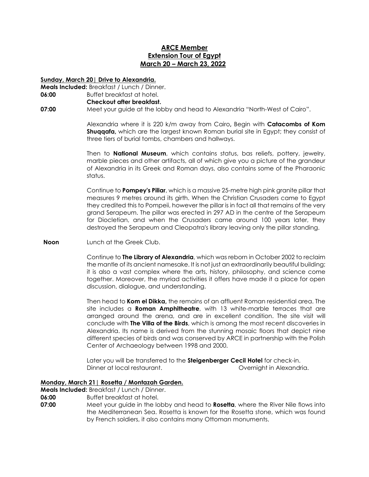# **ARCE Member Extension Tour of Egypt March 20 – March 23, 2022**

#### **Sunday, March 20| Drive to Alexandria.**

**Meals Included:** Breakfast / Lunch / Dinner.

**06:00** Buffet breakfast at hotel.

#### **Checkout after breakfast.**

**07:00** Meet your guide at the lobby and head to Alexandria "North-West of Cairo".

Alexandria where it is 220 k/m away from Cairo**,** Begin with **Catacombs of Kom Shuqqafa,** which are the largest known Roman burial site in Egypt; they consist of three tiers of burial tombs, chambers and hallways.

Then to **National Museum**, which contains status, bas reliefs, pottery, jewelry, marble pieces and other artifacts, all of which give you a picture of the grandeur of Alexandria in its Greek and Roman days, also contains some of the Pharaonic status.

Continue to **Pompey's Pillar**, which is a massive 25-metre high pink granite pillar that measures 9 metres around its girth. When the Christian Crusaders came to Egypt they credited this to Pompeii, however the pillar is in fact all that remains of the very grand Serapeum. The pillar was erected in 297 AD in the centre of the Serapeum for Diocletian, and when the Crusaders came around 100 years later, they destroyed the Serapeum and Cleopatra's library leaving only the pillar standing.

**Noon** Lunch at the Greek Club.

Continue to **The Library of Alexandria**, which was reborn in October 2002 to reclaim the mantle of its ancient namesake. It is not just an extraordinarily beautiful building; it is also a vast complex where the arts, history, philosophy, and science come together. Moreover, the myriad activities it offers have made it a place for open discussion, dialogue, and understanding.

Then head to **Kom el Dikka,** the remains of an affluent Roman residential area. The site includes a **Roman Amphitheatre**, with 13 white-marble terraces that are arranged around the arena, and are in excellent condition. The site visit will conclude with **The Villa of the Birds**, which is among the most recent discoveries in Alexandria. Its name is derived from the stunning mosaic floors that depict nine different species of birds and was conserved by ARCE in partnership with the Polish Center of Archaeology between 1998 and 2000.

Later you will be transferred to the **Steigenberger Cecil Hotel** for check-in. Dinner at local restaurant. The contract of the Covernight in Alexandria.

# **Monday, March 21| Rosetta / Montazah Garden.**

**Meals Included:** Breakfast / Lunch / Dinner.

- **06:00** Buffet breakfast at hotel.
- **07:00** Meet your guide in the lobby and head to **Rosetta**, where the River Nile flows into the Mediterranean Sea. Rosetta is known for the Rosetta stone, which was found by French soldiers, it also contains many Ottoman monuments.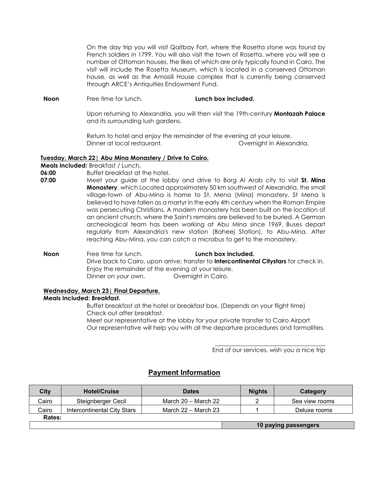On the day trip you will visit Qaitbay Fort, where the Rosetta stone was found by French soldiers in 1799. You will also visit the town of Rosetta, where you will see a number of Ottoman houses, the likes of which are only typically found in Cairo. The visit will include the Rosetta Museum, which is located in a conserved Ottoman house, as well as the Amasili House complex that is currently being conserved through ARCE's Antiquities Endowment Fund.

**Noon** Free time for lunch. **Lunch box included.** 

Upon returning to Alexandria, you will then visit the 19th-century **Montazah Palace** and its surrounding lush gardens.

Return to hotel and enjoy the remainder of the evening at your leisure. Dinner at local restaurant. Overnight in Alexandria.

#### **Tuesday, March 22| Abu Mina Monastery / Drive to Cairo.**

**Meals Included:** Breakfast / Lunch.<br>**06:00** Buffet breakfast at 1

**06:00** Buffet breakfast at the hotel.

**07:00** Meet your guide at the lobby and drive to Borg Al Arab city to visit **St. Mina Monastery**, which Located approximately 50 km southwest of Alexandria, the small village-town of Abu-Mina is home to St. Mena (Mina) monastery. St Mena is believed to have fallen as a martyr in the early 4th century when the Roman Empire was persecuting Christians. A modern monastery has been built on the location of an ancient church, where the Saint's remains are believed to be buried. A German archeological team has been working at Abu Mina since 1969. Buses depart regularly from Alexandria's new station (Baheej Station), to Abu-Mina. After reaching Abu-Mina, you can catch a microbus to get to the monastery.

**Noon** Free time for lunch. **Lunch box included.** Drive back to Cairo, upon arrive; transfer to **Intercontinental Citystars** for check in. Enjoy the remainder of the evening at your leisure. Dinner on your own. **Overnight in Cairo.** 

# **Wednesday, March 23| Final Departure. Meals Included: Breakfast.**

Buffet breakfast at the hotel or breakfast box. (Depends on your flight time) Check out after breakfast. Meet our representative at the lobby for your private transfer to Cairo Airport

Our representative will help you with all the departure procedures and formalities.

End of our services, wish you a nice trip

# **Payment Information**

| City   | <b>Hotel/Cruise</b>         | <b>Dates</b>            | <b>Nights</b> | Category             |
|--------|-----------------------------|-------------------------|---------------|----------------------|
| Cairo  | Steignberger Cecil          | March 20 - March 22     |               | Sea view rooms       |
| Cairo  | Intercontinental City Stars | March $22 -$ March $23$ |               | Deluxe rooms         |
| Rates: |                             |                         |               |                      |
|        |                             |                         |               | 10 paying passengers |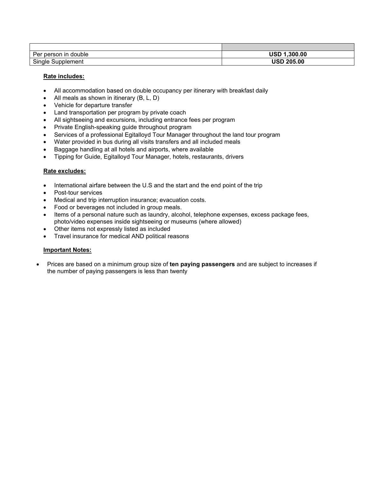| person in<br>double<br>Per     | USD<br>1.300.00 |
|--------------------------------|-----------------|
| $\sim$<br>Single<br>Supplement | USD<br>205.00   |

### **Rate includes:**

- All accommodation based on double occupancy per itinerary with breakfast daily
- All meals as shown in itinerary (B, L, D)
- Vehicle for departure transfer
- Land transportation per program by private coach
- All sightseeing and excursions, including entrance fees per program
- Private English-speaking guide throughout program
- Services of a professional Egitalloyd Tour Manager throughout the land tour program
- Water provided in bus during all visits transfers and all included meals
- Baggage handling at all hotels and airports, where available
- Tipping for Guide, Egitalloyd Tour Manager, hotels, restaurants, drivers

#### **Rate excludes:**

- International airfare between the U.S and the start and the end point of the trip
- Post-tour services
- Medical and trip interruption insurance; evacuation costs.
- Food or beverages not included in group meals.
- Items of a personal nature such as laundry, alcohol, telephone expenses, excess package fees, photo/video expenses inside sightseeing or museums (where allowed)
- Other items not expressly listed as included
- Travel insurance for medical AND political reasons

#### **Important Notes:**

• Prices are based on a minimum group size of **ten paying passengers** and are subject to increases if the number of paying passengers is less than twenty